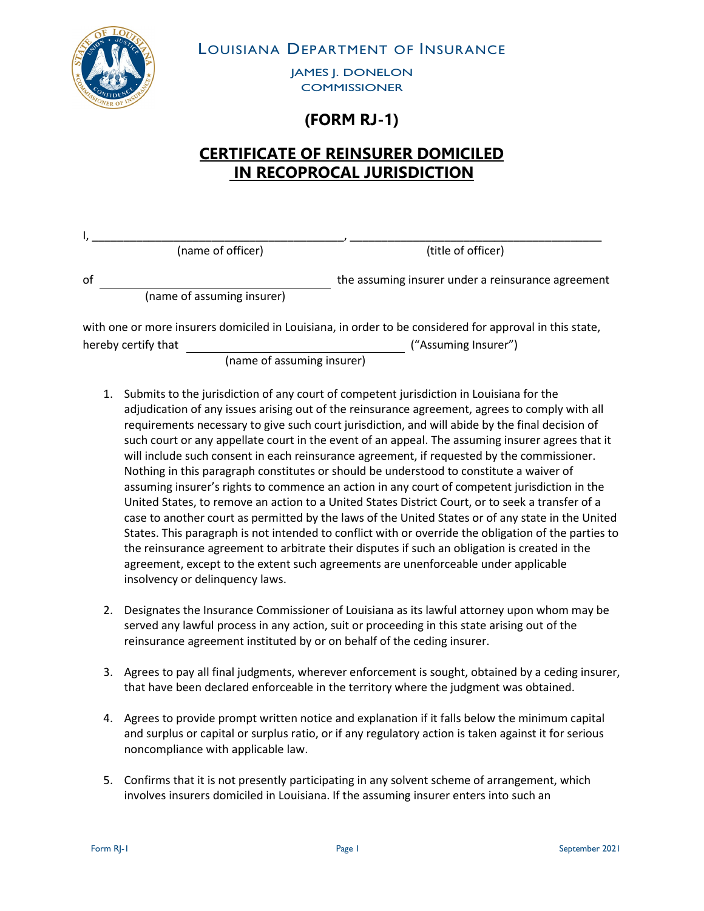

LOUISIANA DEPARTMENT OF INSURANCE

JAMES J. DONELON **COMMISSIONER** 

## **(FORM RJ-1)**

## **CERTIFICATE OF REINSURER DOMICILED IN RECOPROCAL JURISDICTION**

|    | (name of officer)          | (title of officer)                                                                                      |
|----|----------------------------|---------------------------------------------------------------------------------------------------------|
| οf | (name of assuming insurer) | the assuming insurer under a reinsurance agreement                                                      |
|    |                            | with one or more insurers domiciled in Louisiana, in order to be considered for approval in this state, |

hereby certify that ("Assuming Insurer")

(name of assuming insurer)

- 1. Submits to the jurisdiction of any court of competent jurisdiction in Louisiana for the adjudication of any issues arising out of the reinsurance agreement, agrees to comply with all requirements necessary to give such court jurisdiction, and will abide by the final decision of such court or any appellate court in the event of an appeal. The assuming insurer agrees that it will include such consent in each reinsurance agreement, if requested by the commissioner. Nothing in this paragraph constitutes or should be understood to constitute a waiver of assuming insurer's rights to commence an action in any court of competent jurisdiction in the United States, to remove an action to a United States District Court, or to seek a transfer of a case to another court as permitted by the laws of the United States or of any state in the United States. This paragraph is not intended to conflict with or override the obligation of the parties to the reinsurance agreement to arbitrate their disputes if such an obligation is created in the agreement, except to the extent such agreements are unenforceable under applicable insolvency or delinquency laws.
- 2. Designates the Insurance Commissioner of Louisiana as its lawful attorney upon whom may be served any lawful process in any action, suit or proceeding in this state arising out of the reinsurance agreement instituted by or on behalf of the ceding insurer.
- 3. Agrees to pay all final judgments, wherever enforcement is sought, obtained by a ceding insurer, that have been declared enforceable in the territory where the judgment was obtained.
- 4. Agrees to provide prompt written notice and explanation if it falls below the minimum capital and surplus or capital or surplus ratio, or if any regulatory action is taken against it for serious noncompliance with applicable law.
- 5. Confirms that it is not presently participating in any solvent scheme of arrangement, which involves insurers domiciled in Louisiana. If the assuming insurer enters into such an